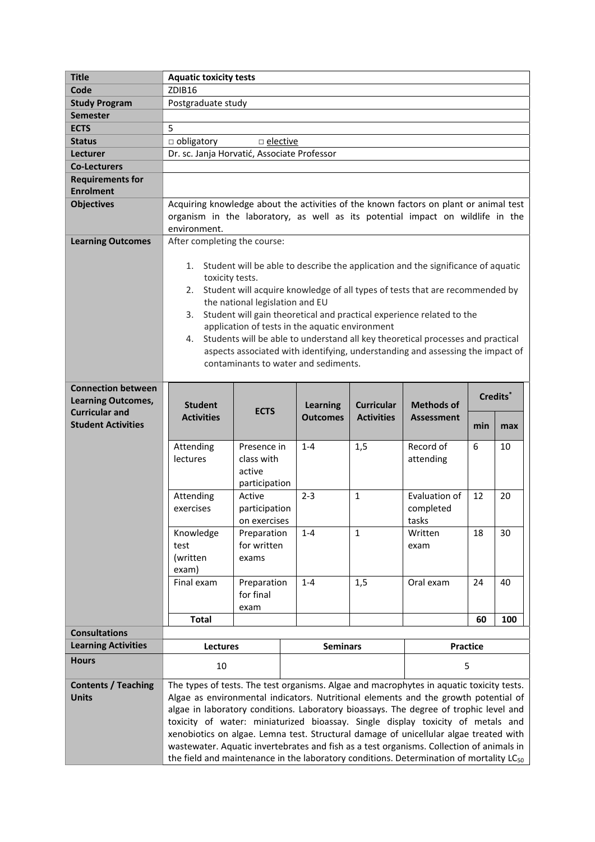| <b>Title</b>                                           | <b>Aquatic toxicity tests</b>                                                                                                                                                                                                                                                                                                                                                                                                                                                                                                                                                                                                                           |                                                      |                 |                 |                                        |                                     |                      |     |
|--------------------------------------------------------|---------------------------------------------------------------------------------------------------------------------------------------------------------------------------------------------------------------------------------------------------------------------------------------------------------------------------------------------------------------------------------------------------------------------------------------------------------------------------------------------------------------------------------------------------------------------------------------------------------------------------------------------------------|------------------------------------------------------|-----------------|-----------------|----------------------------------------|-------------------------------------|----------------------|-----|
| Code                                                   | ZDIB16                                                                                                                                                                                                                                                                                                                                                                                                                                                                                                                                                                                                                                                  |                                                      |                 |                 |                                        |                                     |                      |     |
| <b>Study Program</b>                                   | Postgraduate study                                                                                                                                                                                                                                                                                                                                                                                                                                                                                                                                                                                                                                      |                                                      |                 |                 |                                        |                                     |                      |     |
| <b>Semester</b>                                        |                                                                                                                                                                                                                                                                                                                                                                                                                                                                                                                                                                                                                                                         |                                                      |                 |                 |                                        |                                     |                      |     |
| <b>ECTS</b>                                            | 5                                                                                                                                                                                                                                                                                                                                                                                                                                                                                                                                                                                                                                                       |                                                      |                 |                 |                                        |                                     |                      |     |
| <b>Status</b>                                          | $\Box$ obligatory<br>$\Box$ elective                                                                                                                                                                                                                                                                                                                                                                                                                                                                                                                                                                                                                    |                                                      |                 |                 |                                        |                                     |                      |     |
| <b>Lecturer</b>                                        | Dr. sc. Janja Horvatić, Associate Professor                                                                                                                                                                                                                                                                                                                                                                                                                                                                                                                                                                                                             |                                                      |                 |                 |                                        |                                     |                      |     |
| <b>Co-Lecturers</b>                                    |                                                                                                                                                                                                                                                                                                                                                                                                                                                                                                                                                                                                                                                         |                                                      |                 |                 |                                        |                                     |                      |     |
| <b>Requirements for</b>                                |                                                                                                                                                                                                                                                                                                                                                                                                                                                                                                                                                                                                                                                         |                                                      |                 |                 |                                        |                                     |                      |     |
| <b>Enrolment</b>                                       |                                                                                                                                                                                                                                                                                                                                                                                                                                                                                                                                                                                                                                                         |                                                      |                 |                 |                                        |                                     |                      |     |
| <b>Objectives</b>                                      | Acquiring knowledge about the activities of the known factors on plant or animal test<br>organism in the laboratory, as well as its potential impact on wildlife in the<br>environment.                                                                                                                                                                                                                                                                                                                                                                                                                                                                 |                                                      |                 |                 |                                        |                                     |                      |     |
| <b>Learning Outcomes</b>                               | After completing the course:                                                                                                                                                                                                                                                                                                                                                                                                                                                                                                                                                                                                                            |                                                      |                 |                 |                                        |                                     |                      |     |
|                                                        | 1. Student will be able to describe the application and the significance of aquatic<br>toxicity tests.<br>Student will acquire knowledge of all types of tests that are recommended by<br>2.<br>the national legislation and EU<br>Student will gain theoretical and practical experience related to the<br>3.<br>application of tests in the aquatic environment<br>Students will be able to understand all key theoretical processes and practical<br>4.<br>aspects associated with identifying, understanding and assessing the impact of<br>contaminants to water and sediments.                                                                    |                                                      |                 |                 |                                        |                                     |                      |     |
| <b>Connection between</b><br><b>Learning Outcomes,</b> | <b>Student</b><br><b>ECTS</b>                                                                                                                                                                                                                                                                                                                                                                                                                                                                                                                                                                                                                           |                                                      |                 | <b>Learning</b> | <b>Curricular</b><br><b>Activities</b> | Methods of<br><b>Assessment</b>     | Credits <sup>*</sup> |     |
| <b>Curricular and</b><br><b>Student Activities</b>     | <b>Activities</b>                                                                                                                                                                                                                                                                                                                                                                                                                                                                                                                                                                                                                                       |                                                      | <b>Outcomes</b> | min             |                                        |                                     | max                  |     |
|                                                        | Attending<br>lectures                                                                                                                                                                                                                                                                                                                                                                                                                                                                                                                                                                                                                                   | Presence in<br>class with<br>active<br>participation |                 | $1 - 4$         | 1,5                                    | Record of<br>attending              | 6                    | 10  |
|                                                        | Attending<br>exercises                                                                                                                                                                                                                                                                                                                                                                                                                                                                                                                                                                                                                                  | Active<br>participation<br>on exercises              |                 | $2 - 3$         | $\mathbf{1}$                           | Evaluation of<br>completed<br>tasks | 12                   | 20  |
|                                                        | Knowledge<br>test<br>(written<br>exam)                                                                                                                                                                                                                                                                                                                                                                                                                                                                                                                                                                                                                  | Preparation<br>for written<br>exams                  |                 | $1 - 4$         | $\mathbf{1}$                           | Written<br>exam                     | 18                   | 30  |
|                                                        | Final exam                                                                                                                                                                                                                                                                                                                                                                                                                                                                                                                                                                                                                                              | Preparation<br>for final<br>exam                     |                 | $1 - 4$         | 1,5                                    | Oral exam                           | 24                   | 40  |
|                                                        | <b>Total</b>                                                                                                                                                                                                                                                                                                                                                                                                                                                                                                                                                                                                                                            |                                                      |                 |                 |                                        |                                     | 60                   | 100 |
| <b>Consultations</b>                                   |                                                                                                                                                                                                                                                                                                                                                                                                                                                                                                                                                                                                                                                         |                                                      |                 |                 |                                        |                                     |                      |     |
| <b>Learning Activities</b>                             | Lectures                                                                                                                                                                                                                                                                                                                                                                                                                                                                                                                                                                                                                                                |                                                      |                 | <b>Seminars</b> |                                        | Practice                            |                      |     |
| <b>Hours</b>                                           | 10                                                                                                                                                                                                                                                                                                                                                                                                                                                                                                                                                                                                                                                      |                                                      |                 |                 |                                        | 5                                   |                      |     |
| <b>Contents / Teaching</b><br><b>Units</b>             | The types of tests. The test organisms. Algae and macrophytes in aquatic toxicity tests.<br>Algae as environmental indicators. Nutritional elements and the growth potential of<br>algae in laboratory conditions. Laboratory bioassays. The degree of trophic level and<br>toxicity of water: miniaturized bioassay. Single display toxicity of metals and<br>xenobiotics on algae. Lemna test. Structural damage of unicellular algae treated with<br>wastewater. Aquatic invertebrates and fish as a test organisms. Collection of animals in<br>the field and maintenance in the laboratory conditions. Determination of mortality LC <sub>50</sub> |                                                      |                 |                 |                                        |                                     |                      |     |